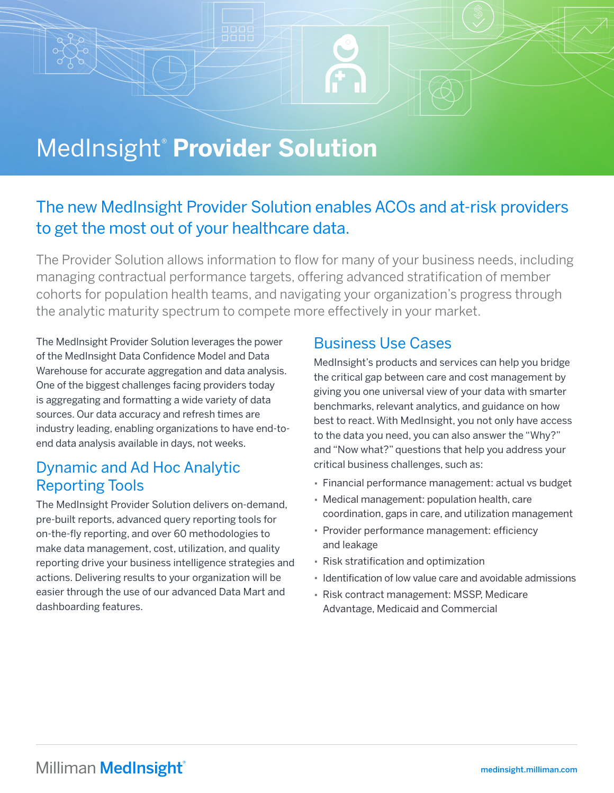## MedInsight® **Provider Solution**

## The new MedInsight Provider Solution enables ACOs and at-risk providers to get the most out of your healthcare data.

The Provider Solution allows information to flow for many of your business needs, including managing contractual performance targets, offering advanced stratification of member cohorts for population health teams, and navigating your organization's progress through the analytic maturity spectrum to compete more effectively in your market.

The MedInsight Provider Solution leverages the power of the MedInsight Data Confidence Model and Data Warehouse for accurate aggregation and data analysis. One of the biggest challenges facing providers today is aggregating and formatting a wide variety of data sources. Our data accuracy and refresh times are industry leading, enabling organizations to have end-toend data analysis available in days, not weeks.

### Dynamic and Ad Hoc Analytic Reporting Tools

The MedInsight Provider Solution delivers on-demand, pre-built reports, advanced query reporting tools for on-the-fly reporting, and over 60 methodologies to make data management, cost, utilization, and quality reporting drive your business intelligence strategies and actions. Delivering results to your organization will be easier through the use of our advanced Data Mart and dashboarding features.

## Business Use Cases

MedInsight's products and services can help you bridge the critical gap between care and cost management by giving you one universal view of your data with smarter benchmarks, relevant analytics, and guidance on how best to react. With MedInsight, you not only have access to the data you need, you can also answer the "Why?" and "Now what?" questions that help you address your critical business challenges, such as:

- Financial performance management: actual vs budget
- Medical management: population health, care coordination, gaps in care, and utilization management
- Provider performance management: efficiency and leakage
- Risk stratification and optimization
- Identification of low value care and avoidable admissions
- Risk contract management: MSSP, Medicare Advantage, Medicaid and Commercial